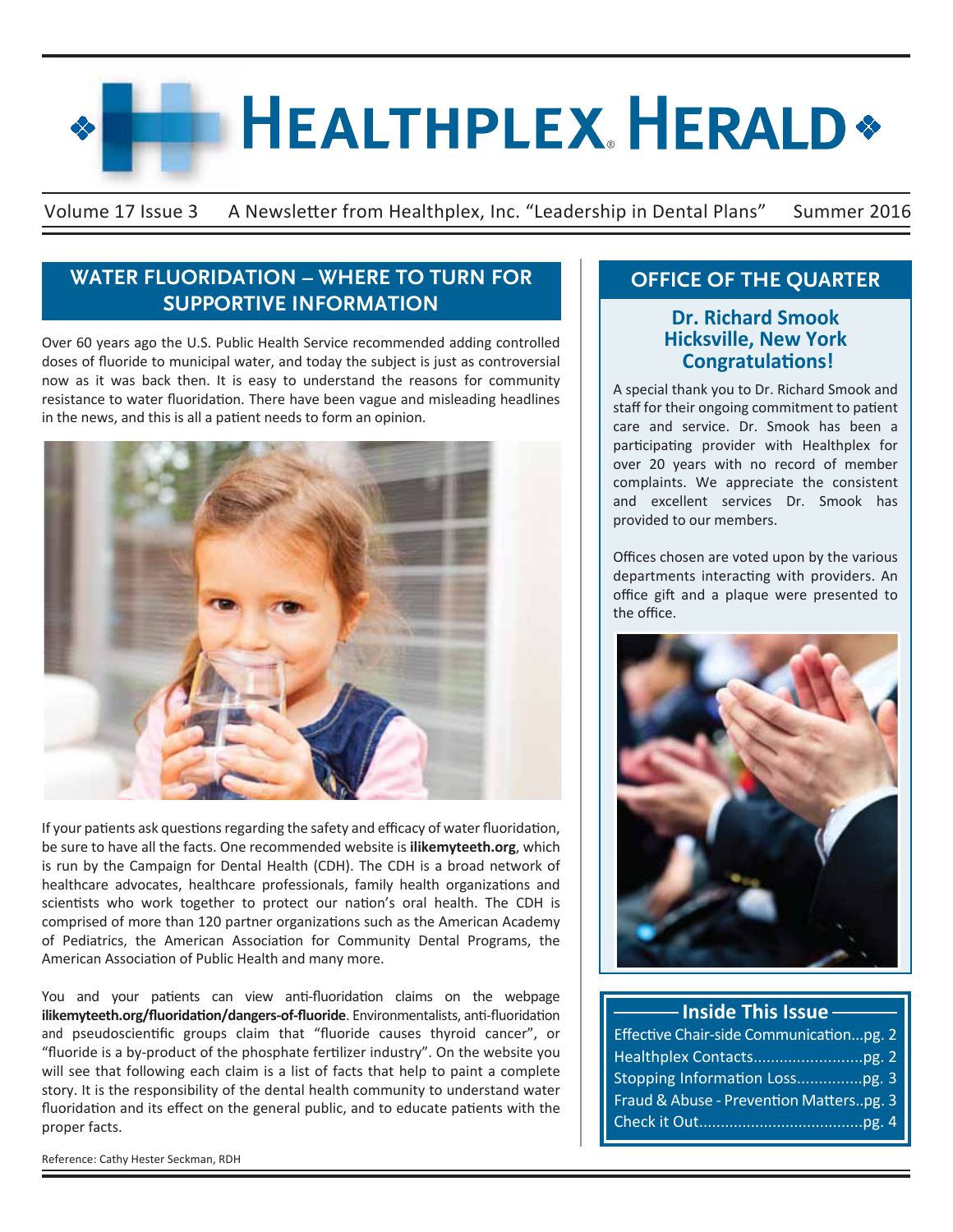# **HEALTHPLEX HERALD\***

Volume 17 Issue 3 A Newsletter from Healthplex, Inc. "Leadership in Dental Plans" Summer 2016

## **WATER FLUORIDATION – WHERE TO TURN FOR SUPPORTIVE INFORMATION**

Over 60 years ago the U.S. Public Health Service recommended adding controlled doses of fluoride to municipal water, and today the subject is just as controversial now as it was back then. It is easy to understand the reasons for community resistance to water fluoridation. There have been vague and misleading headlines in the news, and this is all a patient needs to form an opinion.



If your patients ask questions regarding the safety and efficacy of water fluoridation, be sure to have all the facts. One recommended website is **ilikemyteeth.org**, which is run by the Campaign for Dental Health (CDH). The CDH is a broad network of healthcare advocates, healthcare professionals, family health organizations and scientists who work together to protect our nation's oral health. The CDH is comprised of more than 120 partner organizations such as the American Academy of Pediatrics, the American Association for Community Dental Programs, the American Association of Public Health and many more.

You and your patients can view anti-fluoridation claims on the webpage **ilikemyteeth.org/fluoridation/dangers-of-fluoride**. Environmentalists, anti-fluoridation and pseudoscientific groups claim that "fluoride causes thyroid cancer", or "fluoride is a by-product of the phosphate fertilizer industry". On the website you will see that following each claim is a list of facts that help to paint a complete story. It is the responsibility of the dental health community to understand water fluoridation and its effect on the general public, and to educate patients with the proper facts.

Reference: Cathy Hester Seckman, RDH

# **OFFICE OF THE QUARTER**

## **Dr. Richard Smook Hicksville, New York Congratulations!**

A special thank you to Dr. Richard Smook and staff for their ongoing commitment to patient care and service. Dr. Smook has been a participating provider with Healthplex for over 20 years with no record of member complaints. We appreciate the consistent and excellent services Dr. Smook has provided to our members.

Offices chosen are voted upon by the various departments interacting with providers. An office gift and a plaque were presented to the office.



# **Inside This Issue**

| Effective Chair-side Communicationpg. 2 |  |
|-----------------------------------------|--|
|                                         |  |
|                                         |  |
| Fraud & Abuse - Prevention Matterspg. 3 |  |
|                                         |  |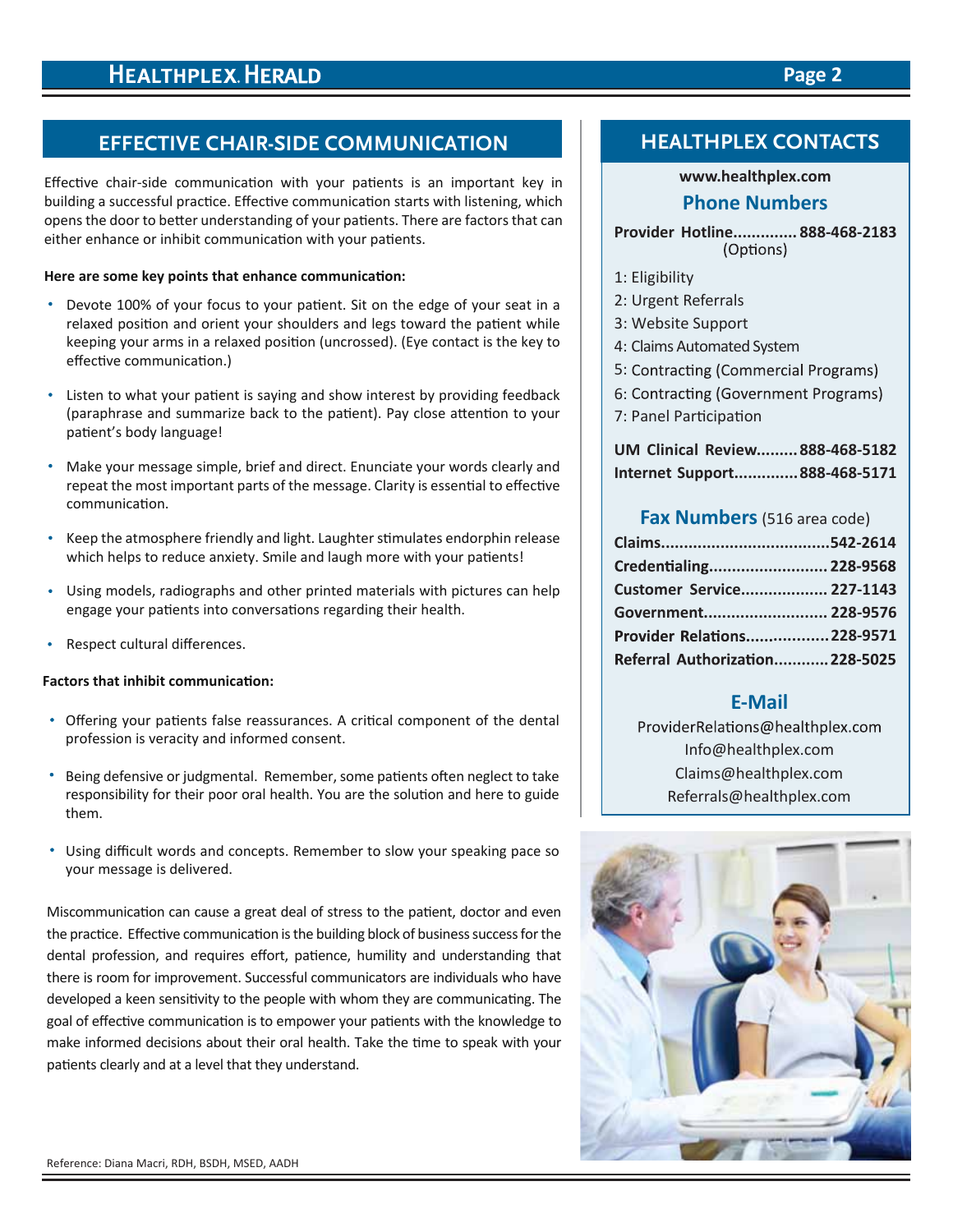# **EFFECTIVE CHAIR-SIDE COMMUNICATION**

Effective chair-side communication with your patients is an important key in building a successful practice. Effective communication starts with listening, which opens the door to better understanding of your patients. There are factors that can either enhance or inhibit communication with your patients.

#### **Here are some key points that enhance communication:**

- Devote 100% of your focus to your patient. Sit on the edge of your seat in a relaxed position and orient your shoulders and legs toward the patient while keeping your arms in a relaxed position (uncrossed). (Eye contact is the key to effective communication.)
- Listen to what your patient is saying and show interest by providing feedback (paraphrase and summarize back to the patient). Pay close attention to your patient's body language!
- Make your message simple, brief and direct. Enunciate your words clearly and repeat the most important parts of the message. Clarity is essential to effective communication.
- Keep the atmosphere friendly and light. Laughter stimulates endorphin release which helps to reduce anxiety. Smile and laugh more with your patients!
- Using models, radiographs and other printed materials with pictures can help  $\bullet$ engage your patients into conversations regarding their health.
- Respect cultural differences.  $\bullet$

## **Factors that inhibit communication:**

- Offering your patients false reassurances. A critical component of the dental profession is veracity and informed consent.
- Being defensive or judgmental. Remember, some patients often neglect to take responsibility for their poor oral health. You are the solution and here to guide them.
- Using difficult words and concepts. Remember to slow your speaking pace so your message is delivered.

Miscommunication can cause a great deal of stress to the patient, doctor and even the practice. Effective communication is the building block of business success for the dental profession, and requires effort, patience, humility and understanding that there is room for improvement. Successful communicators are individuals who have developed a keen sensitivity to the people with whom they are communicating. The goal of effective communication is to empower your patients with the knowledge to make informed decisions about their oral health. Take the time to speak with your patients clearly and at a level that they understand.

# **www.healthplex.com**

## **Phone Numbers**

**Provider Hotline.............. 888-468-2183** (Options)

- 1: Eligibility
- 2: Urgent Referrals
- 3: Website Support
- 4: Claims Automated System
- 5: Contracting (Commercial Programs)
- 6: Contracting (Government Programs)
- 7: Panel Participation

|  | UM Clinical Review 888-468-5182 |
|--|---------------------------------|
|  | Internet Support888-468-5171    |

## **Fax Numbers**(516 area code)

| Credentialing 228-9568          |  |
|---------------------------------|--|
| Customer Service 227-1143       |  |
| Government 228-9576             |  |
| Provider Relations228-9571      |  |
| Referral Authorization 228-5025 |  |

## **E-Mail**

ProviderRelations@healthplex.com Info@healthplex.com Claims@healthplex.com Referrals@healthplex.com



## **Page 2**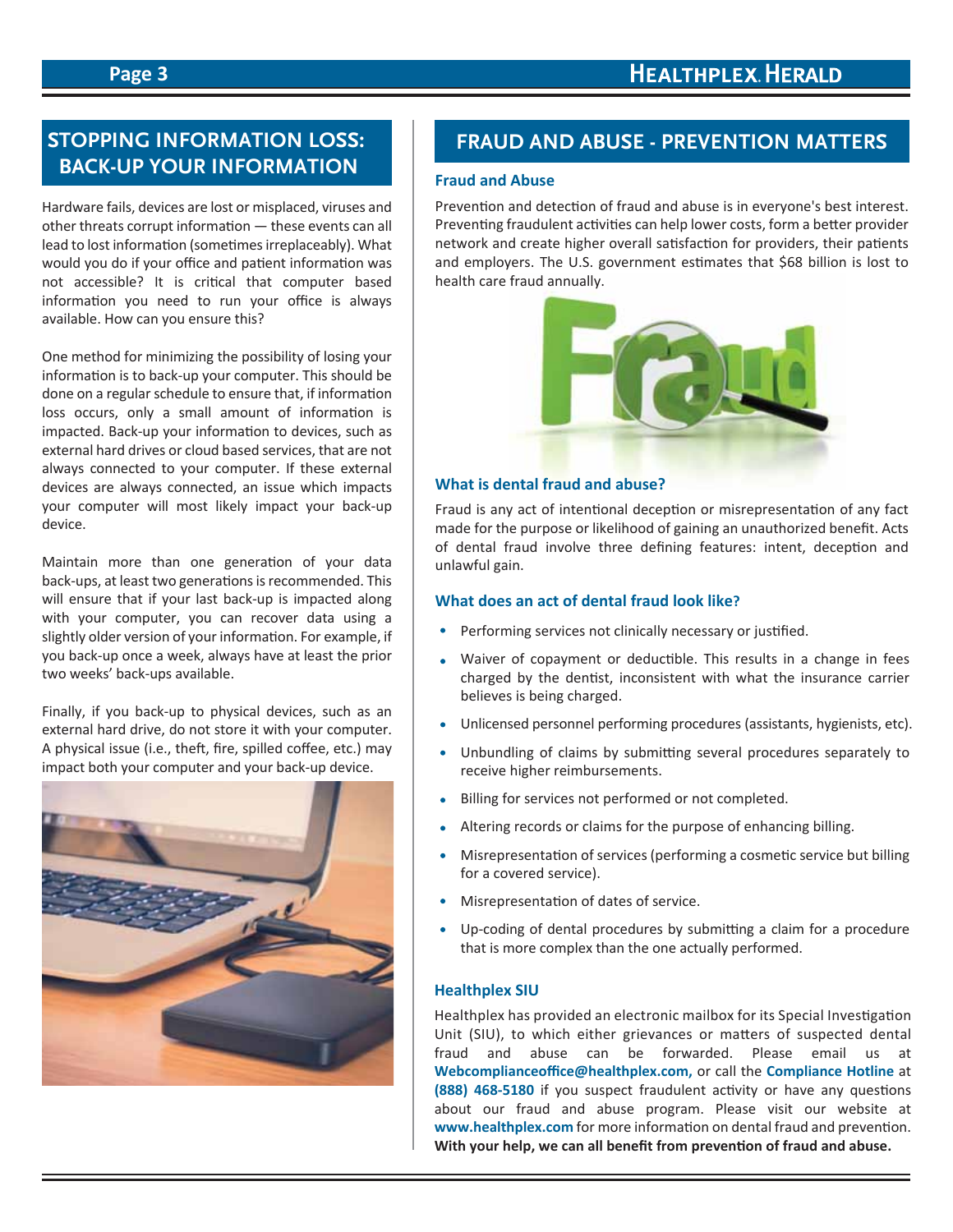## **Page 3**

# **STOPPING INFORMATION LOSS: BACK-UP YOUR INFORMATION**

Hardware fails, devices are lost or misplaced, viruses and other threats corrupt information — these events can all lead to lost information (sometimes irreplaceably). What would you do if your office and patient information was not accessible? It is critical that computer based information you need to run your office is always available. How can you ensure this?

One method for minimizing the possibility of losing your information is to back-up your computer. This should be done on a regular schedule to ensure that, if information loss occurs, only a small amount of information is impacted. Back-up your information to devices, such as external hard drives or cloud based services, that are not always connected to your computer. If these external devices are always connected, an issue which impacts your computer will most likely impact your back-up device.

Maintain more than one generation of your data back-ups, at least two generations is recommended. This will ensure that if your last back-up is impacted along with your computer, you can recover data using a slightly older version of your information. For example, if you back-up once a week, always have at least the prior two weeks' back-ups available.

Finally, if you back-up to physical devices, such as an external hard drive, do not store it with your computer. A physical issue (i.e., theft, fire, spilled coffee, etc.) may impact both your computer and your back-up device.



## **FRAUD AND ABUSE - PREVENTION MATTERS**

### **Fraud and Abuse**

Prevention and detection of fraud and abuse is in everyone's best interest. Preventing fraudulent activities can help lower costs, form a better provider network and create higher overall satisfaction for providers, their patients and employers. The U.S. government estimates that \$68 billion is lost to health care fraud annually.



#### **What is dental fraud and abuse?**

Fraud is any act of intentional deception or misrepresentation of any fact made for the purpose or likelihood of gaining an unauthorized benefit. Acts of dental fraud involve three defining features: intent, deception and unlawful gain.

## **What does an act of dental fraud look like?**

- Performing services not clinically necessary or justified.
- Waiver of copayment or deductible. This results in a change in fees charged by the dentist, inconsistent with what the insurance carrier believes is being charged.
- Unlicensed personnel performing procedures (assistants, hygienists, etc).
- Unbundling of claims by submitting several procedures separately to  $\bullet$ receive higher reimbursements.
- Billing for services not performed or not completed.
- Altering records or claims for the purpose of enhancing billing.
- Misrepresentation of services (performing a cosmetic service but billing for a covered service).
- Misrepresentation of dates of service.
- Up-coding of dental procedures by submitting a claim for a procedure that is more complex than the one actually performed.

## **Healthplex SIU**

Healthplex has provided an electronic mailbox for its Special Investigation Unit (SIU), to which either grievances or matters of suspected dental fraud and abuse can be forwarded. Please email us at **Webcomplianceoffice@healthplex.com,** or call the **Compliance Hotline** at **(888) 468-5180** if you suspect fraudulent activity or have any questions about our fraud and abuse program. Please visit our website at **www.healthplex.com** for more information on dental fraud and prevention. **With your help, we can all benefit from prevention of fraud and abuse.**